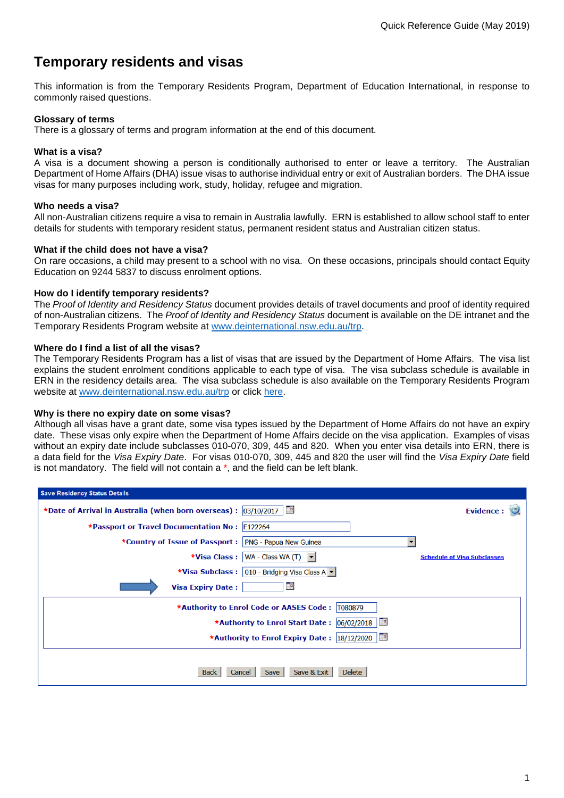# **Temporary residents and visas**

This information is from the Temporary Residents Program, Department of Education International, in response to commonly raised questions.

# **Glossary of terms**

There is a glossary of terms and program information at the end of this document.

# **What is a visa?**

A visa is a document showing a person is conditionally authorised to enter or leave a territory. The Australian Department of Home Affairs (DHA) issue visas to authorise individual entry or exit of Australian borders. The DHA issue visas for many purposes including work, study, holiday, refugee and migration.

# **Who needs a visa?**

All non-Australian citizens require a visa to remain in Australia lawfully. ERN is established to allow school staff to enter details for students with temporary resident status, permanent resident status and Australian citizen status.

# **What if the child does not have a visa?**

On rare occasions, a child may present to a school with no visa. On these occasions, principals should contact Equity Education on 9244 5837 to discuss enrolment options.

# **How do I identify temporary residents?**

The *Proof of Identity and Residency Status* document provides details of travel documents and proof of identity required of non-Australian citizens. The *Proof of Identity and Residency Status* document is available on the DE intranet and the Temporary Residents Program website at [www.deinternational.nsw.edu.au/trp.](https://www.deinternational.nsw.edu.au/study-options/study-programs/temporary-residents)

# **Where do I find a list of all the visas?**

The Temporary Residents Program has a list of visas that are issued by the Department of Home Affairs. The visa list explains the student enrolment conditions applicable to each type of visa. The visa subclass schedule is available in ERN in the residency details area. The visa subclass schedule is also available on the Temporary Residents Program website at [www.deinternational.nsw.edu.au/trp](https://www.deinternational.nsw.edu.au/study-options/study-programs/temporary-residents) or click [here.](https://www.deinternational.nsw.edu.au/__data/assets/pdf_file/0012/16410/16410-Visa-Subclasses-and-Enrolment-Conditions.pdf)

# **Why is there no expiry date on some visas?**

Although all visas have a grant date, some visa types issued by the Department of Home Affairs do not have an expiry date. These visas only expire when the Department of Home Affairs decide on the visa application. Examples of visas without an expiry date include subclasses 010-070, 309, 445 and 820. When you enter visa details into ERN, there is a data field for the *Visa Expiry Date*. For visas 010-070, 309, 445 and 820 the user will find the *Visa Expiry Date* field is not mandatory. The field will not contain  $a^*$ , and the field can be left blank.

| <b>Save Residency Status Details</b>                               |                                    |  |  |  |  |  |  |
|--------------------------------------------------------------------|------------------------------------|--|--|--|--|--|--|
| *Date of Arrival in Australia (when born overseas): 03/10/2017     | <b>Evidence:</b>                   |  |  |  |  |  |  |
| *Passport or Travel Documentation No: E122264                      |                                    |  |  |  |  |  |  |
| *Country of Issue of Passport :   PNG - Papua New Guinea           |                                    |  |  |  |  |  |  |
| <b>*Visa Class: WA - Class WA (T)</b>                              | <b>Schedule of Visa Subclasses</b> |  |  |  |  |  |  |
| *Visa Subclass:   010 - Bridging Visa Class A $\blacktriangledown$ |                                    |  |  |  |  |  |  |
| <b>Visa Expiry Date:</b><br>P.                                     |                                    |  |  |  |  |  |  |
| *Authority to Enrol Code or AASES Code:  T080879                   |                                    |  |  |  |  |  |  |
| *Authority to Enrol Start Date: 06/02/2018<br>P                    |                                    |  |  |  |  |  |  |
| *Authority to Enrol Expiry Date:  18/12/2020                       |                                    |  |  |  |  |  |  |
| Save & Exit<br><b>Delete</b><br>Cancel<br>Save<br><b>Back</b>      |                                    |  |  |  |  |  |  |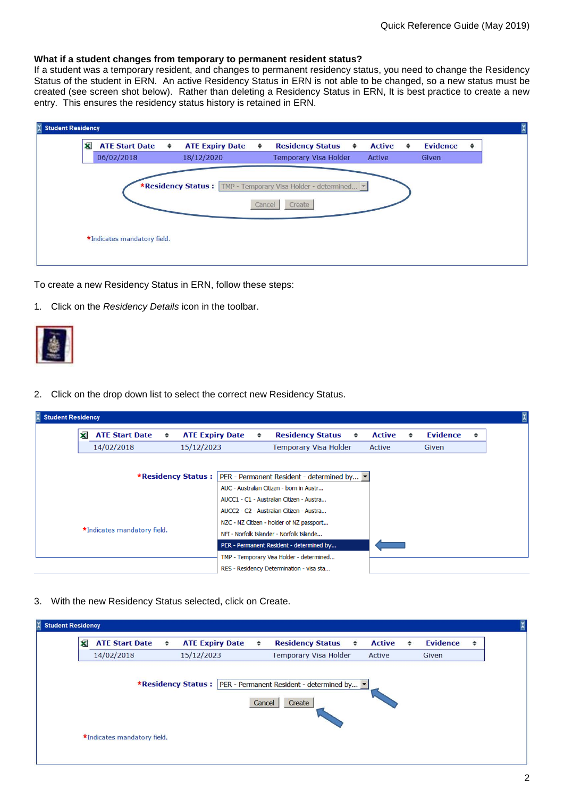# **What if a student changes from temporary to permanent resident status?**

If a student was a temporary resident, and changes to permanent residency status, you need to change the Residency Status of the student in ERN. An active Residency Status in ERN is not able to be changed, so a new status must be created (see screen shot below). Rather than deleting a Residency Status in ERN, It is best practice to create a new entry. This ensures the residency status history is retained in ERN.

| $\overline{\mathbf{x}}$ | <b>ATE Start Date</b>       | ٠ | <b>ATE Expiry Date</b> | ÷      | <b>Residency Status</b><br>٠                                   | <b>Active</b> | ٠ | <b>Evidence</b> | ÷ |
|-------------------------|-----------------------------|---|------------------------|--------|----------------------------------------------------------------|---------------|---|-----------------|---|
|                         | 06/02/2018                  |   | 18/12/2020             |        | <b>Temporary Visa Holder</b>                                   | Active        |   | Given           |   |
|                         |                             |   |                        |        |                                                                |               |   |                 |   |
|                         |                             |   |                        |        | *Residency Status : TMP - Temporary Visa Holder - determined ~ |               |   |                 |   |
|                         |                             |   |                        |        |                                                                |               |   |                 |   |
|                         |                             |   |                        | Cancel | Create                                                         |               |   |                 |   |
|                         |                             |   |                        |        |                                                                |               |   |                 |   |
|                         | *Indicates mandatory field. |   |                        |        |                                                                |               |   |                 |   |
|                         |                             |   |                        |        |                                                                |               |   |                 |   |

To create a new Residency Status in ERN, follow these steps:

1. Click on the *Residency Details* icon in the toolbar.



2. Click on the drop down list to select the correct new Residency Status.

3. With the new Residency Status selected, click on Create.

| × | <b>ATE Start Date</b> | ÷ | <b>ATE Expiry Date</b> | ÷      | <b>Residency Status</b><br>$\Rightarrow$                         | <b>Active</b> | ÷ | <b>Evidence</b> | ٠ |
|---|-----------------------|---|------------------------|--------|------------------------------------------------------------------|---------------|---|-----------------|---|
|   | 14/02/2018            |   | 15/12/2023             |        | Temporary Visa Holder                                            | Active        |   | Given           |   |
|   |                       |   |                        |        | *Residency Status :   PER - Permanent Resident - determined by v |               |   |                 |   |
|   |                       |   |                        | Cancel | Create                                                           |               |   |                 |   |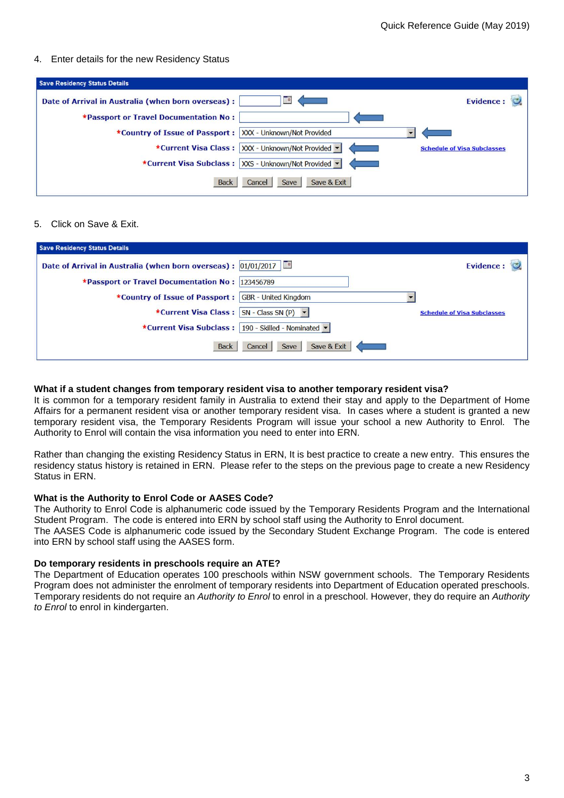## 4. Enter details for the new Residency Status

| <b>Save Residency Status Details</b>                      |                                    |
|-----------------------------------------------------------|------------------------------------|
| Date of Arrival in Australia (when born overseas) :       | $\mathbf{u}$<br><b>Evidence:</b>   |
| *Passport or Travel Documentation No:                     |                                    |
| *Country of Issue of Passport: XXX - Unknown/Not Provided |                                    |
| *Current Visa Class : XXX - Unknown/Not Provided *        | <b>Schedule of Visa Subclasses</b> |
| *Current Visa Subclass: XXS - Unknown/Not Provided *      |                                    |
| <b>Back</b><br>Cancel                                     | Save & Exit<br>Save                |

## 5. Click on Save & Exit.

| <b>Save Residency Status Details</b>                          |                                    |
|---------------------------------------------------------------|------------------------------------|
| Date of Arrival in Australia (when born overseas): 01/01/2017 | <b>Evidence:</b>                   |
| *Passport or Travel Documentation No: 123456789               |                                    |
| *Country of Issue of Passport : GBR - United Kingdom          |                                    |
| *Current Visa Class: SN - Class SN (P) -                      | <b>Schedule of Visa Subclasses</b> |
| *Current Visa Subclass:   190 - Skilled - Nominated v         |                                    |
| Save & Exit<br>Cancel  <br><b>Back</b><br>Save                |                                    |

## **What if a student changes from temporary resident visa to another temporary resident visa?**

It is common for a temporary resident family in Australia to extend their stay and apply to the Department of Home Affairs for a permanent resident visa or another temporary resident visa. In cases where a student is granted a new temporary resident visa, the Temporary Residents Program will issue your school a new Authority to Enrol. The Authority to Enrol will contain the visa information you need to enter into ERN.

Rather than changing the existing Residency Status in ERN, It is best practice to create a new entry. This ensures the residency status history is retained in ERN. Please refer to the steps on the previous page to create a new Residency Status in ERN.

#### **What is the Authority to Enrol Code or AASES Code?**

The Authority to Enrol Code is alphanumeric code issued by the Temporary Residents Program and the International Student Program. The code is entered into ERN by school staff using the Authority to Enrol document. The AASES Code is alphanumeric code issued by the Secondary Student Exchange Program. The code is entered into ERN by school staff using the AASES form.

#### **Do temporary residents in preschools require an ATE?**

The Department of Education operates 100 preschools within NSW government schools. The Temporary Residents Program does not administer the enrolment of temporary residents into Department of Education operated preschools. Temporary residents do not require an *Authority to Enrol* to enrol in a preschool. However, they do require an *Authority to Enrol* to enrol in kindergarten.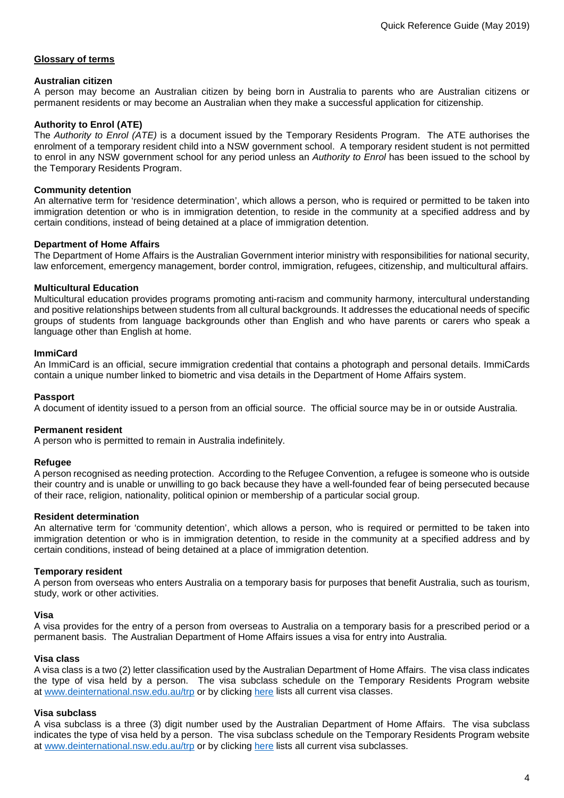# **Glossary of terms**

### **Australian citizen**

A person may become an Australian citizen by being born in Australia to parents who are Australian citizens or permanent residents or may become an Australian when they make a successful application for citizenship.

## **Authority to Enrol (ATE)**

The *Authority to Enrol (ATE)* is a document issued by the Temporary Residents Program. The ATE authorises the enrolment of a temporary resident child into a NSW government school. A temporary resident student is not permitted to enrol in any NSW government school for any period unless an *Authority to Enrol* has been issued to the school by the Temporary Residents Program.

#### **Community detention**

An alternative term for 'residence determination', which allows a person, who is required or permitted to be taken into immigration detention or who is in immigration detention, to reside in the community at a specified address and by certain conditions, instead of being detained at a place of immigration detention.

#### **Department of Home Affairs**

The Department of Home Affairs is the Australian Government interior ministry with responsibilities for national security, law enforcement, emergency management, border control, immigration, refugees, citizenship, and multicultural affairs.

#### **Multicultural Education**

Multicultural education provides programs promoting anti-racism and community harmony, intercultural understanding and positive relationships between students from all cultural backgrounds. It addresses the educational needs of specific groups of students from language backgrounds other than English and who have parents or carers who speak a language other than English at home.

#### **ImmiCard**

An ImmiCard is an official, secure immigration credential that contains a photograph and personal details. ImmiCards contain a unique number linked to biometric and visa details in the Department of Home Affairs system.

#### **Passport**

A document of identity issued to a person from an official source. The official source may be in or outside Australia.

#### **Permanent resident**

A person who is permitted to remain in Australia indefinitely.

#### **Refugee**

A person recognised as needing protection. According to the Refugee Convention, a refugee is someone who is outside their country and is unable or unwilling to go back because they have a well-founded fear of being persecuted because of their race, religion, nationality, political opinion or membership of a particular social group.

#### **Resident determination**

An alternative term for 'community detention', which allows a person, who is required or permitted to be taken into immigration detention or who is in immigration detention, to reside in the community at a specified address and by certain conditions, instead of being detained at a place of immigration detention.

#### **Temporary resident**

A person from overseas who enters Australia on a temporary basis for purposes that benefit Australia, such as tourism, study, work or other activities.

#### **Visa**

A visa provides for the entry of a person from overseas to Australia on a temporary basis for a prescribed period or a permanent basis. The Australian Department of Home Affairs issues a visa for entry into Australia.

#### **Visa class**

A visa class is a two (2) letter classification used by the Australian Department of Home Affairs. The visa class indicates the type of visa held by a person. The visa subclass schedule on the Temporary Residents Program website at [www.deinternational.nsw.edu.au/trp](https://www.deinternational.nsw.edu.au/study-options/study-programs/temporary-residents) or by clicking [here](https://www.deinternational.nsw.edu.au/__data/assets/pdf_file/0012/16410/16410-Visa-Subclasses-and-Enrolment-Conditions.pdf) lists all current visa classes.

#### **Visa subclass**

A visa subclass is a three (3) digit number used by the Australian Department of Home Affairs. The visa subclass indicates the type of visa held by a person. The visa subclass schedule on the Temporary Residents Program website at [www.deinternational.nsw.edu.au/trp](https://www.deinternational.nsw.edu.au/study-options/study-programs/temporary-residents) or by clicking [here](https://www.deinternational.nsw.edu.au/__data/assets/pdf_file/0012/16410/16410-Visa-Subclasses-and-Enrolment-Conditions.pdf) lists all current visa subclasses.